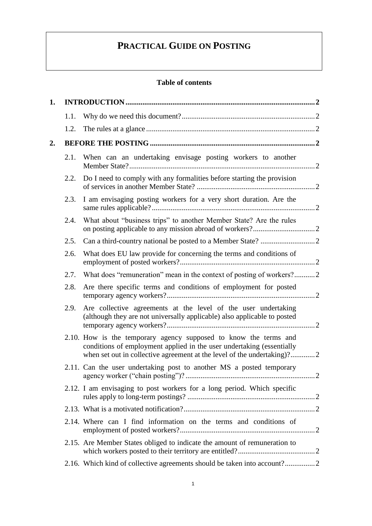# **PRACTICAL GUIDE ON POSTING**

# **Table of contents**

| 1. |      |                                                                                                                                                                                                                      |  |
|----|------|----------------------------------------------------------------------------------------------------------------------------------------------------------------------------------------------------------------------|--|
|    | 1.1. |                                                                                                                                                                                                                      |  |
|    | 1.2. |                                                                                                                                                                                                                      |  |
| 2. |      |                                                                                                                                                                                                                      |  |
|    | 2.1. | When can an undertaking envisage posting workers to another                                                                                                                                                          |  |
|    | 2.2. | Do I need to comply with any formalities before starting the provision                                                                                                                                               |  |
|    | 2.3. | I am envisaging posting workers for a very short duration. Are the                                                                                                                                                   |  |
|    | 2.4. | What about "business trips" to another Member State? Are the rules                                                                                                                                                   |  |
|    | 2.5. |                                                                                                                                                                                                                      |  |
|    | 2.6. | What does EU law provide for concerning the terms and conditions of                                                                                                                                                  |  |
|    | 2.7. | What does "remuneration" mean in the context of posting of workers?2                                                                                                                                                 |  |
|    | 2.8. | Are there specific terms and conditions of employment for posted                                                                                                                                                     |  |
|    | 2.9. | Are collective agreements at the level of the user undertaking<br>(although they are not universally applicable) also applicable to posted                                                                           |  |
|    |      | 2.10. How is the temporary agency supposed to know the terms and<br>conditions of employment applied in the user undertaking (essentially<br>when set out in collective agreement at the level of the undertaking)?2 |  |
|    |      | 2.11. Can the user undertaking post to another MS a posted temporary<br>2                                                                                                                                            |  |
|    |      | 2.12. I am envisaging to post workers for a long period. Which specific                                                                                                                                              |  |
|    |      |                                                                                                                                                                                                                      |  |
|    |      | 2.14. Where can I find information on the terms and conditions of                                                                                                                                                    |  |
|    |      | 2.15. Are Member States obliged to indicate the amount of remuneration to                                                                                                                                            |  |
|    |      | 2.16. Which kind of collective agreements should be taken into account?2                                                                                                                                             |  |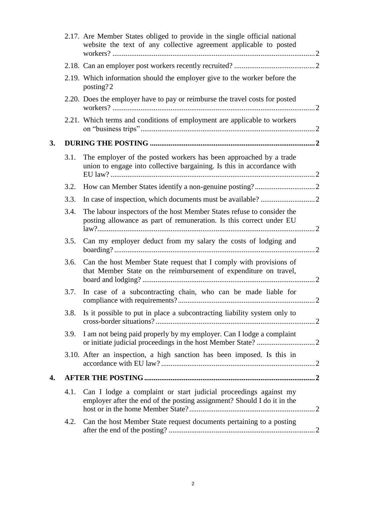|    |      | 2.17. Are Member States obliged to provide in the single official national<br>website the text of any collective agreement applicable to posted |  |
|----|------|-------------------------------------------------------------------------------------------------------------------------------------------------|--|
|    |      |                                                                                                                                                 |  |
|    |      | 2.19. Which information should the employer give to the worker before the<br>posting?2                                                          |  |
|    |      | 2.20. Does the employer have to pay or reimburse the travel costs for posted                                                                    |  |
|    |      | 2.21. Which terms and conditions of employment are applicable to workers                                                                        |  |
| 3. |      |                                                                                                                                                 |  |
|    | 3.1. | The employer of the posted workers has been approached by a trade<br>union to engage into collective bargaining. Is this in accordance with     |  |
|    | 3.2. |                                                                                                                                                 |  |
|    | 3.3. |                                                                                                                                                 |  |
|    | 3.4. | The labour inspectors of the host Member States refuse to consider the<br>posting allowance as part of remuneration. Is this correct under EU   |  |
|    | 3.5. | Can my employer deduct from my salary the costs of lodging and                                                                                  |  |
|    | 3.6. | Can the host Member State request that I comply with provisions of<br>that Member State on the reimbursement of expenditure on travel,          |  |
|    | 3.7. | In case of a subcontracting chain, who can be made liable for                                                                                   |  |
|    | 3.8. | Is it possible to put in place a subcontracting liability system only to                                                                        |  |
|    | 3.9. | I am not being paid properly by my employer. Can I lodge a complaint                                                                            |  |
|    |      | 3.10. After an inspection, a high sanction has been imposed. Is this in                                                                         |  |
| 4. |      |                                                                                                                                                 |  |
|    | 4.1. | Can I lodge a complaint or start judicial proceedings against my<br>employer after the end of the posting assignment? Should I do it in the     |  |
|    | 4.2. | Can the host Member State request documents pertaining to a posting                                                                             |  |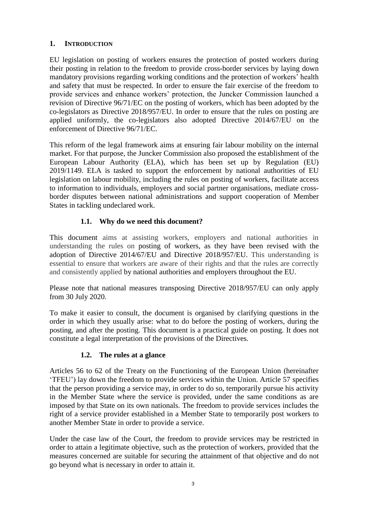# <span id="page-2-0"></span>**1. INTRODUCTION**

EU legislation on posting of workers ensures the protection of posted workers during their posting in relation to the freedom to provide cross-border services by laying down mandatory provisions regarding working conditions and the protection of workers' health and safety that must be respected. In order to ensure the fair exercise of the freedom to provide services and enhance workers' protection, the Juncker Commission launched a revision of Directive 96/71/EC on the posting of workers, which has been adopted by the co-legislators as Directive 2018/957/EU. In order to ensure that the rules on posting are applied uniformly, the co-legislators also adopted Directive 2014/67/EU on the enforcement of Directive 96/71/EC.

This reform of the legal framework aims at ensuring fair labour mobility on the internal market. For that purpose, the Juncker Commission also proposed the establishment of the European Labour Authority (ELA), which has been set up by Regulation (EU) 2019/1149. ELA is tasked to support the enforcement by national authorities of EU legislation on labour mobility, including the rules on posting of workers, facilitate access to information to individuals, employers and social partner organisations, mediate crossborder disputes between national administrations and support cooperation of Member States in tackling undeclared work.

# **1.1. Why do we need this document?**

<span id="page-2-1"></span>This document aims at assisting workers, employers and national authorities in understanding the rules on posting of workers, as they have been revised with the adoption of Directive 2014/67/EU and Directive 2018/957/EU. This understanding is essential to ensure that workers are aware of their rights and that the rules are correctly and consistently applied by national authorities and employers throughout the EU.

Please note that national measures transposing Directive 2018/957/EU can only apply from 30 July 2020.

To make it easier to consult, the document is organised by clarifying questions in the order in which they usually arise: what to do before the posting of workers, during the posting, and after the posting. This document is a practical guide on posting. It does not constitute a legal interpretation of the provisions of the Directives.

# **1.2. The rules at a glance**

<span id="page-2-2"></span>Articles 56 to 62 of the Treaty on the Functioning of the European Union (hereinafter 'TFEU') lay down the freedom to provide services within the Union. Article 57 specifies that the person providing a service may, in order to do so, temporarily pursue his activity in the Member State where the service is provided, under the same conditions as are imposed by that State on its own nationals. The freedom to provide services includes the right of a service provider established in a Member State to temporarily post workers to another Member State in order to provide a service.

Under the case law of the Court, the freedom to provide services may be restricted in order to attain a legitimate objective, such as the protection of workers, provided that the measures concerned are suitable for securing the attainment of that objective and do not go beyond what is necessary in order to attain it.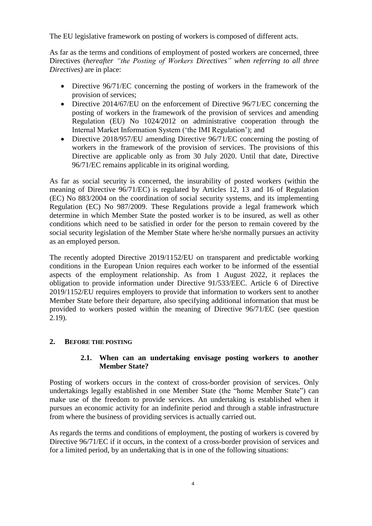The EU legislative framework on posting of workers is composed of different acts.

As far as the terms and conditions of employment of posted workers are concerned, three Directives (*hereafter "the Posting of Workers Directives" when referring to all three Directives)* are in place:

- Directive 96/71/EC concerning the posting of workers in the framework of the provision of services;
- Directive 2014/67/EU on the enforcement of Directive 96/71/EC concerning the posting of workers in the framework of the provision of services and amending Regulation (EU) No 1024/2012 on administrative cooperation through the Internal Market Information System ('the IMI Regulation'); and
- Directive 2018/957/EU amending Directive 96/71/EC concerning the posting of workers in the framework of the provision of services. The provisions of this Directive are applicable only as from 30 July 2020. Until that date, Directive 96/71/EC remains applicable in its original wording.

As far as social security is concerned, the insurability of posted workers (within the meaning of Directive 96/71/EC) is regulated by Articles 12, 13 and 16 of Regulation (EC) No 883/2004 on the coordination of social security systems, and its implementing Regulation (EC) No 987/2009. These Regulations provide a legal framework which determine in which Member State the posted worker is to be insured, as well as other conditions which need to be satisfied in order for the person to remain covered by the social security legislation of the Member State where he/she normally pursues an activity as an employed person.

The recently adopted Directive 2019/1152/EU on transparent and predictable working conditions in the European Union requires each worker to be informed of the essential aspects of the employment relationship. As from 1 August 2022, it replaces the obligation to provide information under Directive 91/533/EEC. Article 6 of Directive 2019/1152/EU requires employers to provide that information to workers sent to another Member State before their departure, also specifying additional information that must be provided to workers posted within the meaning of Directive 96/71/EC (see question [2.19\)](#page-14-0).

# <span id="page-3-1"></span><span id="page-3-0"></span>**2. BEFORE THE POSTING**

#### **2.1. When can an undertaking envisage posting workers to another Member State?**

Posting of workers occurs in the context of cross-border provision of services. Only undertakings legally established in one Member State (the "home Member State") can make use of the freedom to provide services. An undertaking is established when it pursues an economic activity for an indefinite period and through a stable infrastructure from where the business of providing services is actually carried out.

As regards the terms and conditions of employment, the posting of workers is covered by Directive 96/71/EC if it occurs, in the context of a cross-border provision of services and for a limited period, by an undertaking that is in one of the following situations: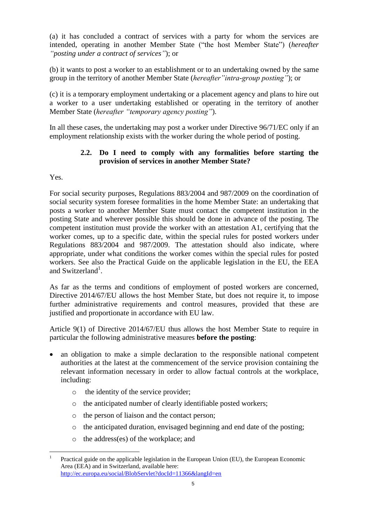(a) it has concluded a contract of services with a party for whom the services are intended, operating in another Member State ("the host Member State") (*hereafter "posting under a contract of services"*); or

(b) it wants to post a worker to an establishment or to an undertaking owned by the same group in the territory of another Member State (*hereafter"intra-group posting"*); or

(c) it is a temporary employment undertaking or a placement agency and plans to hire out a worker to a user undertaking established or operating in the territory of another Member State (*hereafter "temporary agency posting"*).

In all these cases, the undertaking may post a worker under Directive 96/71/EC only if an employment relationship exists with the worker during the whole period of posting.

## **2.2. Do I need to comply with any formalities before starting the provision of services in another Member State?**

<span id="page-4-0"></span>Yes.

For social security purposes, Regulations 883/2004 and 987/2009 on the coordination of social security system foresee formalities in the home Member State: an undertaking that posts a worker to another Member State must contact the competent institution in the posting State and wherever possible this should be done in advance of the posting. The competent institution must provide the worker with an attestation A1, certifying that the worker comes, up to a specific date, within the special rules for posted workers under Regulations 883/2004 and 987/2009. The attestation should also indicate, where appropriate, under what conditions the worker comes within the special rules for posted workers. See also the Practical Guide on the applicable legislation in the EU, the EEA and Switzerland<sup>1</sup>.

As far as the terms and conditions of employment of posted workers are concerned, Directive 2014/67/EU allows the host Member State, but does not require it, to impose further administrative requirements and control measures, provided that these are justified and proportionate in accordance with EU law.

Article 9(1) of Directive 2014/67/EU thus allows the host Member State to require in particular the following administrative measures **before the posting**:

- an obligation to make a simple declaration to the responsible national competent authorities at the latest at the commencement of the service provision containing the relevant information necessary in order to allow factual controls at the workplace, including:
	- o the identity of the service provider;
	- o the anticipated number of clearly identifiable posted workers;
	- o the person of liaison and the contact person;
	- o the anticipated duration, envisaged beginning and end date of the posting;
	- o the address(es) of the workplace; and

 $\frac{1}{1}$ Practical guide on the applicable legislation in the European Union (EU), the European Economic Area (EEA) and in Switzerland, available here: <http://ec.europa.eu/social/BlobServlet?docId=11366&langId=en>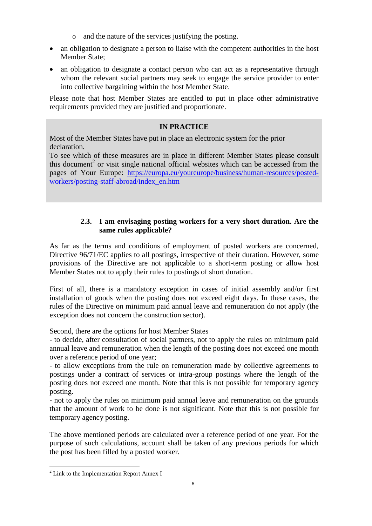- o and the nature of the services justifying the posting.
- an obligation to designate a person to liaise with the competent authorities in the host Member State;
- an obligation to designate a contact person who can act as a representative through whom the relevant social partners may seek to engage the service provider to enter into collective bargaining within the host Member State.

Please note that host Member States are entitled to put in place other administrative requirements provided they are justified and proportionate.

# **IN PRACTICE**

Most of the Member States have put in place an electronic system for the prior declaration.

To see which of these measures are in place in different Member States please consult this document<sup>2</sup> or visit single national official websites which can be accessed from the pages of Your Europe: [https://europa.eu/youreurope/business/human-resources/posted](https://europa.eu/youreurope/business/human-resources/posted-workers/posting-staff-abroad/index_en.htm)[workers/posting-staff-abroad/index\\_en.htm](https://europa.eu/youreurope/business/human-resources/posted-workers/posting-staff-abroad/index_en.htm)

# **2.3. I am envisaging posting workers for a very short duration. Are the same rules applicable?**

<span id="page-5-0"></span>As far as the terms and conditions of employment of posted workers are concerned, Directive 96/71/EC applies to all postings, irrespective of their duration. However, some provisions of the Directive are not applicable to a short-term posting or allow host Member States not to apply their rules to postings of short duration.

First of all, there is a mandatory exception in cases of initial assembly and/or first installation of goods when the posting does not exceed eight days. In these cases, the rules of the Directive on minimum paid annual leave and remuneration do not apply (the exception does not concern the construction sector).

Second, there are the options for host Member States

- to decide, after consultation of social partners, not to apply the rules on minimum paid annual leave and remuneration when the length of the posting does not exceed one month over a reference period of one year;

- to allow exceptions from the rule on remuneration made by collective agreements to postings under a contract of services or intra-group postings where the length of the posting does not exceed one month. Note that this is not possible for temporary agency posting.

- not to apply the rules on minimum paid annual leave and remuneration on the grounds that the amount of work to be done is not significant. Note that this is not possible for temporary agency posting.

The above mentioned periods are calculated over a reference period of one year. For the purpose of such calculations, account shall be taken of any previous periods for which the post has been filled by a posted worker.

 $\overline{a}$ 

 $2$  Link to the Implementation Report Annex I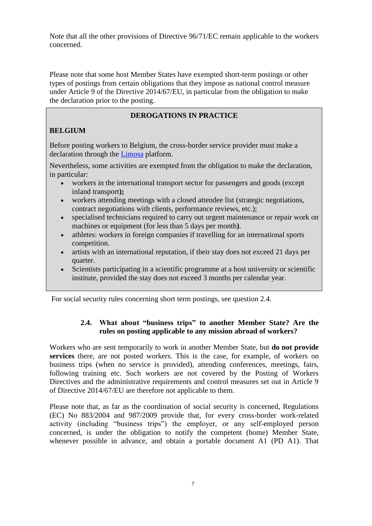Note that all the other provisions of Directive 96/71/EC remain applicable to the workers concerned.

Please note that some host Member States have exempted short-term postings or other types of postings from certain obligations that they impose as national control measure under Article 9 of the Directive 2014/67/EU, in particular from the obligation to make the declaration prior to the posting.

## **DEROGATIONS IN PRACTICE**

# **BELGIUM**

Before posting workers to Belgium, the cross-border service provider must make a declaration through the [Limosa](https://www.international.socialsecurity.be/working_in_belgium/en/limosa.html) platform.

Nevertheless, some activities are exempted from the obligation to make the declaration, in particular:

- workers in the international transport sector for passengers and goods (except inland transport**);**
- workers attending meetings with a closed attendee list (strategic negotiations, contract negotiations with clients, performance reviews, etc.);
- specialised technicians required to carry out urgent maintenance or repair work on machines or equipment (for less than 5 days per month**)**.
- athletes: workers in foreign companies if travelling for an international sports competition.
- artists with an international reputation, if their stay does not exceed 21 days per quarter.
- Scientists participating in a scientific programme at a host university or scientific institute, provided the stay does not exceed 3 months per calendar year.

<span id="page-6-0"></span>For social security rules concerning short term postings, see question [2.4.](#page-6-0)

# **2.4. What about "business trips" to another Member State? Are the rules on posting applicable to any mission abroad of workers?**

Workers who are sent temporarily to work in another Member State, but **do not provide services** there, are not posted workers. This is the case, for example, of workers on business trips (when no service is provided), attending conferences, meetings, fairs, following training etc. Such workers are not covered by the Posting of Workers Directives and the administrative requirements and control measures set out in Article 9 of Directive 2014/67/EU are therefore not applicable to them.

Please note that, as far as the coordination of social security is concerned, Regulations (EC) No 883/2004 and 987/2009 provide that, for every cross-border work-related activity (including "business trips") the employer, or any self-employed person concerned, is under the obligation to notify the competent (home) Member State, whenever possible in advance, and obtain a portable document A1 (PD A1). That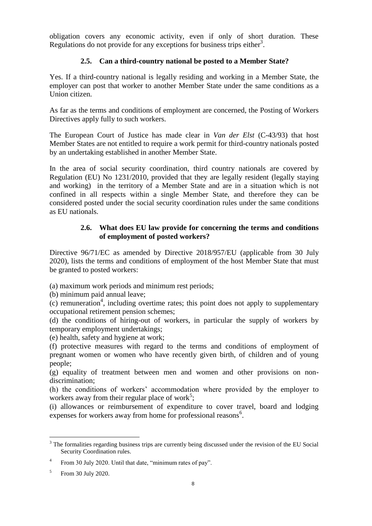obligation covers any economic activity, even if only of short duration. These Regulations do not provide for any exceptions for business trips either<sup>3</sup>.

# **2.5. Can a third-country national be posted to a Member State?**

<span id="page-7-0"></span>Yes. If a third-country national is legally residing and working in a Member State, the employer can post that worker to another Member State under the same conditions as a Union citizen.

As far as the terms and conditions of employment are concerned, the Posting of Workers Directives apply fully to such workers.

The European Court of Justice has made clear in *Van der Elst* (C-43/93) that host Member States are not entitled to require a work permit for third-country nationals posted by an undertaking established in another Member State.

In the area of social security coordination, third country nationals are covered by Regulation (EU) No 1231/2010, provided that they are legally resident (legally staying and working) in the territory of a Member State and are in a situation which is not confined in all respects within a single Member State, and therefore they can be considered posted under the social security coordination rules under the same conditions as EU nationals.

## **2.6. What does EU law provide for concerning the terms and conditions of employment of posted workers?**

<span id="page-7-1"></span>Directive 96/71/EC as amended by Directive 2018/957/EU (applicable from 30 July 2020), lists the terms and conditions of employment of the host Member State that must be granted to posted workers:

(a) maximum work periods and minimum rest periods;

(b) minimum paid annual leave;

 $(c)$  remuneration<sup>4</sup>, including overtime rates; this point does not apply to supplementary occupational retirement pension schemes;

(d) the conditions of hiring-out of workers, in particular the supply of workers by temporary employment undertakings;

(e) health, safety and hygiene at work;

(f) protective measures with regard to the terms and conditions of employment of pregnant women or women who have recently given birth, of children and of young people;

(g) equality of treatment between men and women and other provisions on nondiscrimination;

(h) the conditions of workers' accommodation where provided by the employer to workers away from their regular place of work<sup>5</sup>;

(i) allowances or reimbursement of expenditure to cover travel, board and lodging expenses for workers away from home for professional reasons $6$ .

 $\overline{a}$  $3$  The formalities regarding business trips are currently being discussed under the revision of the EU Social Security Coordination rules.

<sup>4</sup> From 30 July 2020. Until that date, "minimum rates of pay".

<sup>5</sup> From 30 July 2020.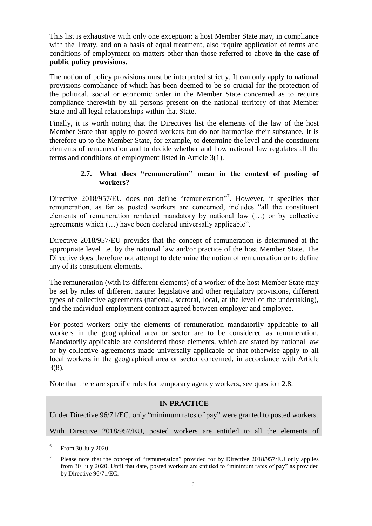This list is exhaustive with only one exception: a host Member State may, in compliance with the Treaty, and on a basis of equal treatment, also require application of terms and conditions of employment on matters other than those referred to above **in the case of public policy provisions**.

The notion of policy provisions must be interpreted strictly. It can only apply to national provisions compliance of which has been deemed to be so crucial for the protection of the political, social or economic order in the Member State concerned as to require compliance therewith by all persons present on the national territory of that Member State and all legal relationships within that State.

Finally, it is worth noting that the Directives list the elements of the law of the host Member State that apply to posted workers but do not harmonise their substance. It is therefore up to the Member State, for example, to determine the level and the constituent elements of remuneration and to decide whether and how national law regulates all the terms and conditions of employment listed in Article 3(1).

#### **2.7. What does "remuneration" mean in the context of posting of workers?**

<span id="page-8-0"></span>Directive 2018/957/EU does not define "remuneration"<sup>7</sup>. However, it specifies that remuneration, as far as posted workers are concerned, includes "all the constituent elements of remuneration rendered mandatory by national law (…) or by collective agreements which (…) have been declared universally applicable".

Directive 2018/957/EU provides that the concept of remuneration is determined at the appropriate level i.e. by the national law and/or practice of the host Member State. The Directive does therefore not attempt to determine the notion of remuneration or to define any of its constituent elements.

The remuneration (with its different elements) of a worker of the host Member State may be set by rules of different nature: legislative and other regulatory provisions, different types of collective agreements (national, sectoral, local, at the level of the undertaking), and the individual employment contract agreed between employer and employee.

For posted workers only the elements of remuneration mandatorily applicable to all workers in the geographical area or sector are to be considered as remuneration. Mandatorily applicable are considered those elements, which are stated by national law or by collective agreements made universally applicable or that otherwise apply to all local workers in the geographical area or sector concerned, in accordance with Article 3(8).

Note that there are specific rules for temporary agency workers, see question [2.8.](#page-9-0)

# **IN PRACTICE**

Under Directive 96/71/EC, only "minimum rates of pay" were granted to posted workers.

With Directive 2018/957/EU, posted workers are entitled to all the elements of

 6 From 30 July 2020.

<sup>7</sup> Please note that the concept of "remuneration" provided for by Directive 2018/957/EU only applies from 30 July 2020. Until that date, posted workers are entitled to "minimum rates of pay" as provided by Directive 96/71/EC.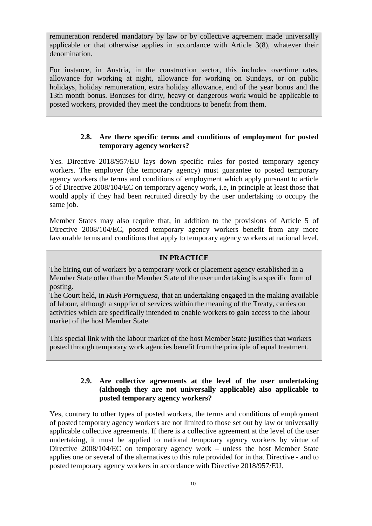remuneration rendered mandatory by law or by collective agreement made universally applicable or that otherwise applies in accordance with Article 3(8), whatever their denomination.

For instance, in Austria, in the construction sector, this includes overtime rates, allowance for working at night, allowance for working on Sundays, or on public holidays, holiday remuneration, extra holiday allowance, end of the year bonus and the 13th month bonus. Bonuses for dirty, heavy or dangerous work would be applicable to posted workers, provided they meet the conditions to benefit from them.

#### **2.8. Are there specific terms and conditions of employment for posted temporary agency workers?**

<span id="page-9-0"></span>Yes. Directive 2018/957/EU lays down specific rules for posted temporary agency workers. The employer (the temporary agency) must guarantee to posted temporary agency workers the terms and conditions of employment which apply pursuant to article 5 of Directive 2008/104/EC on temporary agency work, i.e, in principle at least those that would apply if they had been recruited directly by the user undertaking to occupy the same job.

Member States may also require that, in addition to the provisions of Article 5 of Directive 2008/104/EC, posted temporary agency workers benefit from any more favourable terms and conditions that apply to temporary agency workers at national level.

#### **IN PRACTICE**

The hiring out of workers by a temporary work or placement agency established in a Member State other than the Member State of the user undertaking is a specific form of posting.

The Court held, in *Rush Portuguesa*, that an undertaking engaged in the making available of labour, although a supplier of services within the meaning of the Treaty, carries on activities which are specifically intended to enable workers to gain access to the labour market of the host Member State.

This special link with the labour market of the host Member State justifies that workers posted through temporary work agencies benefit from the principle of equal treatment.

#### <span id="page-9-1"></span>**2.9. Are collective agreements at the level of the user undertaking (although they are not universally applicable) also applicable to posted temporary agency workers?**

Yes, contrary to other types of posted workers, the terms and conditions of employment of posted temporary agency workers are not limited to those set out by law or universally applicable collective agreements. If there is a collective agreement at the level of the user undertaking, it must be applied to national temporary agency workers by virtue of Directive 2008/104/EC on temporary agency work – unless the host Member State applies one or several of the alternatives to this rule provided for in that Directive - and to posted temporary agency workers in accordance with Directive 2018/957/EU.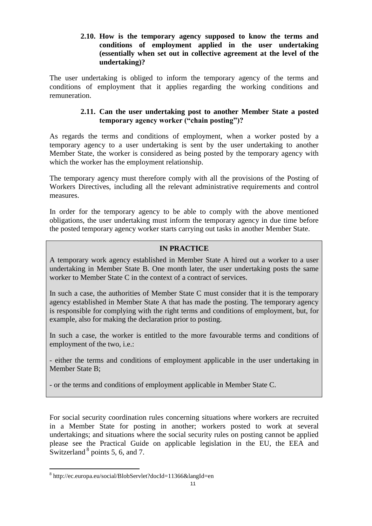#### <span id="page-10-0"></span>**2.10. How is the temporary agency supposed to know the terms and conditions of employment applied in the user undertaking (essentially when set out in collective agreement at the level of the undertaking)?**

The user undertaking is obliged to inform the temporary agency of the terms and conditions of employment that it applies regarding the working conditions and remuneration.

#### **2.11. Can the user undertaking post to another Member State a posted temporary agency worker ("chain posting")?**

<span id="page-10-1"></span>As regards the terms and conditions of employment, when a worker posted by a temporary agency to a user undertaking is sent by the user undertaking to another Member State, the worker is considered as being posted by the temporary agency with which the worker has the employment relationship.

The temporary agency must therefore comply with all the provisions of the Posting of Workers Directives, including all the relevant administrative requirements and control measures.

In order for the temporary agency to be able to comply with the above mentioned obligations, the user undertaking must inform the temporary agency in due time before the posted temporary agency worker starts carrying out tasks in another Member State.

# **IN PRACTICE**

A temporary work agency established in Member State A hired out a worker to a user undertaking in Member State B. One month later, the user undertaking posts the same worker to Member State C in the context of a contract of services.

In such a case, the authorities of Member State C must consider that it is the temporary agency established in Member State A that has made the posting. The temporary agency is responsible for complying with the right terms and conditions of employment, but, for example, also for making the declaration prior to posting.

In such a case, the worker is entitled to the more favourable terms and conditions of employment of the two, i.e.:

- either the terms and conditions of employment applicable in the user undertaking in Member State B;

- or the terms and conditions of employment applicable in Member State C.

For social security coordination rules concerning situations where workers are recruited in a Member State for posting in another; workers posted to work at several undertakings; and situations where the social security rules on posting cannot be applied please see the Practical Guide on applicable legislation in the EU, the EEA and Switzerland  $8$  points 5, 6, and 7.

 $\overline{a}$ 

<sup>8</sup> http://ec.europa.eu/social/BlobServlet?docId=11366&langId=en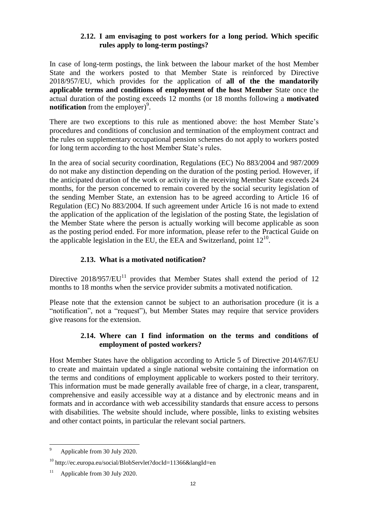#### **2.12. I am envisaging to post workers for a long period. Which specific rules apply to long-term postings?**

<span id="page-11-0"></span>In case of long-term postings, the link between the labour market of the host Member State and the workers posted to that Member State is reinforced by Directive 2018/957/EU, which provides for the application of **all of the the mandatorily applicable terms and conditions of employment of the host Member** State once the actual duration of the posting exceeds 12 months (or 18 months following a **motivated notification** from the employer)<sup>9</sup>.

There are two exceptions to this rule as mentioned above: the host Member State's procedures and conditions of conclusion and termination of the employment contract and the rules on supplementary occupational pension schemes do not apply to workers posted for long term according to the host Member State's rules.

In the area of social security coordination, Regulations (EC) No 883/2004 and 987/2009 do not make any distinction depending on the duration of the posting period. However, if the anticipated duration of the work or activity in the receiving Member State exceeds 24 months, for the person concerned to remain covered by the social security legislation of the sending Member State, an extension has to be agreed according to Article 16 of Regulation (EC) No 883/2004. If such agreement under Article 16 is not made to extend the application of the application of the legislation of the posting State, the legislation of the Member State where the person is actually working will become applicable as soon as the posting period ended. For more information, please refer to the Practical Guide on the applicable legislation in the EU, the EEA and Switzerland, point  $12^{10}$ .

#### **2.13. What is a motivated notification?**

<span id="page-11-1"></span>Directive  $2018/957/EU<sup>11</sup>$  provides that Member States shall extend the period of 12 months to 18 months when the service provider submits a motivated notification.

Please note that the extension cannot be subject to an authorisation procedure (it is a "notification", not a "request"), but Member States may require that service providers give reasons for the extension.

## **2.14. Where can I find information on the terms and conditions of employment of posted workers?**

<span id="page-11-2"></span>Host Member States have the obligation according to Article 5 of Directive 2014/67/EU to create and maintain updated a single national website containing the information on the terms and conditions of employment applicable to workers posted to their territory. This information must be made generally available free of charge, in a clear, transparent, comprehensive and easily accessible way at a distance and by electronic means and in formats and in accordance with web accessibility standards that ensure access to persons with disabilities. The website should include, where possible, links to existing websites and other contact points, in particular the relevant social partners.

 $\boldsymbol{9}$ <sup>9</sup> Applicable from 30 July 2020.

<sup>&</sup>lt;sup>10</sup> http://ec.europa.eu/social/BlobServlet?docId=11366&langId=en

Applicable from 30 July 2020.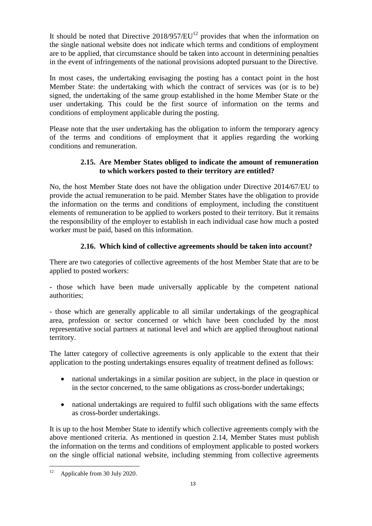It should be noted that Directive  $2018/957/EU^{12}$  provides that when the information on the single national website does not indicate which terms and conditions of employment are to be applied, that circumstance should be taken into account in determining penalties in the event of infringements of the national provisions adopted pursuant to the Directive.

In most cases, the undertaking envisaging the posting has a contact point in the host Member State: the undertaking with which the contract of services was (or is to be) signed, the undertaking of the same group established in the home Member State or the user undertaking. This could be the first source of information on the terms and conditions of employment applicable during the posting.

Please note that the user undertaking has the obligation to inform the temporary agency of the terms and conditions of employment that it applies regarding the working conditions and remuneration.

# **2.15. Are Member States obliged to indicate the amount of remuneration to which workers posted to their territory are entitled?**

<span id="page-12-0"></span>No, the host Member State does not have the obligation under Directive 2014/67/EU to provide the actual remuneration to be paid. Member States have the obligation to provide the information on the terms and conditions of employment, including the constituent elements of remuneration to be applied to workers posted to their territory. But it remains the responsibility of the employer to establish in each individual case how much a posted worker must be paid, based on this information.

# **2.16. Which kind of collective agreements should be taken into account?**

<span id="page-12-1"></span>There are two categories of collective agreements of the host Member State that are to be applied to posted workers:

- those which have been made universally applicable by the competent national authorities;

- those which are generally applicable to all similar undertakings of the geographical area, profession or sector concerned or which have been concluded by the most representative social partners at national level and which are applied throughout national territory.

The latter category of collective agreements is only applicable to the extent that their application to the posting undertakings ensures equality of treatment defined as follows:

- national undertakings in a similar position are subject, in the place in question or in the sector concerned, to the same obligations as cross-border undertakings;
- national undertakings are required to fulfil such obligations with the same effects as cross-border undertakings.

It is up to the host Member State to identify which collective agreements comply with the above mentioned criteria. As mentioned in question [2.14,](#page-11-2) Member States must publish the information on the terms and conditions of employment applicable to posted workers on the single official national website, including stemming from collective agreements

 $12$ Applicable from 30 July 2020.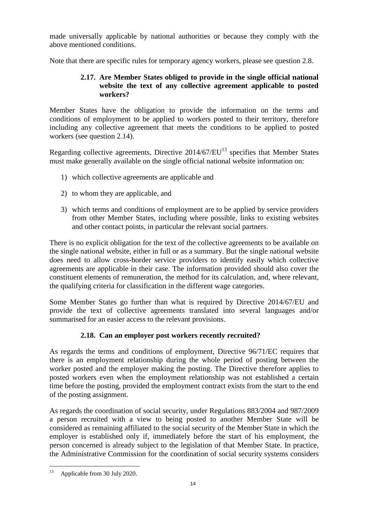made universally applicable by national authorities or because they comply with the above mentioned conditions.

<span id="page-13-0"></span>Note that there are specific rules for temporary agency workers, please see question [2.8.](#page-9-0)

# **2.17. Are Member States obliged to provide in the single official national website the text of any collective agreement applicable to posted workers?**

Member States have the obligation to provide the information on the terms and conditions of employment to be applied to workers posted to their territory, therefore including any collective agreement that meets the conditions to be applied to posted workers (see question [2.14\)](#page-11-2).

Regarding collective agreements, Directive  $2014/67/EU^{13}$  specifies that Member States must make generally available on the single official national website information on:

- 1) which collective agreements are applicable and
- 2) to whom they are applicable, and
- 3) which terms and conditions of employment are to be applied by service providers from other Member States, including where possible, links to existing websites and other contact points, in particular the relevant social partners.

There is no explicit obligation for the text of the collective agreements to be available on the single national website, either in full or as a summary. But the single national website does need to allow cross-border service providers to identify easily which collective agreements are applicable in their case. The information provided should also cover the constituent elements of remuneration, the method for its calculation, and, where relevant, the qualifying criteria for classification in the different wage categories.

Some Member States go further than what is required by Directive 2014/67/EU and provide the text of collective agreements translated into several languages and/or summarised for an easier access to the relevant provisions.

# **2.18. Can an employer post workers recently recruited?**

<span id="page-13-1"></span>As regards the terms and conditions of employment, Directive 96/71/EC requires that there is an employment relationship during the whole period of posting between the worker posted and the employer making the posting. The Directive therefore applies to posted workers even when the employment relationship was not established a certain time before the posting, provided the employment contract exists from the start to the end of the posting assignment.

As regards the coordination of social security, under Regulations 883/2004 and 987/2009 a person recruited with a view to being posted to another Member State will be considered as remaining affiliated to the social security of the Member State in which the employer is established only if, immediately before the start of his employment, the person concerned is already subject to the legislation of that Member State. In practice, the Administrative Commission for the coordination of social security systems considers

<sup>13</sup> Applicable from 30 July 2020.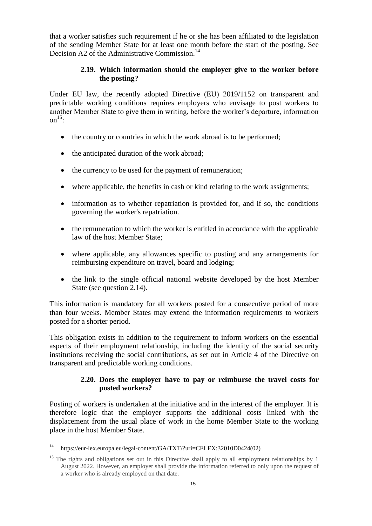that a worker satisfies such requirement if he or she has been affiliated to the legislation of the sending Member State for at least one month before the start of the posting. See Decision A2 of the Administrative Commission.<sup>14</sup>

#### **2.19. Which information should the employer give to the worker before the posting?**

<span id="page-14-0"></span>Under EU law, the recently adopted Directive (EU) 2019/1152 on transparent and predictable working conditions requires employers who envisage to post workers to another Member State to give them in writing, before the worker's departure, information  $\text{on}^{15}$ :

- the country or countries in which the work abroad is to be performed:
- the anticipated duration of the work abroad;
- the currency to be used for the payment of remuneration;
- where applicable, the benefits in cash or kind relating to the work assignments;
- information as to whether repatriation is provided for, and if so, the conditions governing the worker's repatriation.
- the remuneration to which the worker is entitled in accordance with the applicable law of the host Member State;
- where applicable, any allowances specific to posting and any arrangements for reimbursing expenditure on travel, board and lodging;
- the link to the single official national website developed by the host Member State (see question [2.14\)](#page-11-2).

This information is mandatory for all workers posted for a consecutive period of more than four weeks. Member States may extend the information requirements to workers posted for a shorter period.

This obligation exists in addition to the requirement to inform workers on the essential aspects of their employment relationship, including the identity of the social security institutions receiving the social contributions, as set out in Article 4 of the Directive on transparent and predictable working conditions.

#### **2.20. Does the employer have to pay or reimburse the travel costs for posted workers?**

<span id="page-14-1"></span>Posting of workers is undertaken at the initiative and in the interest of the employer. It is therefore logic that the employer supports the additional costs linked with the displacement from the usual place of work in the home Member State to the working place in the host Member State.

 $14$ <sup>14</sup> https://eur-lex.europa.eu/legal-content/GA/TXT/?uri=CELEX:32010D0424(02)

<sup>&</sup>lt;sup>15</sup> The rights and obligations set out in this Directive shall apply to all employment relationships by 1 August 2022. However, an employer shall provide the information referred to only upon the request of a worker who is already employed on that date.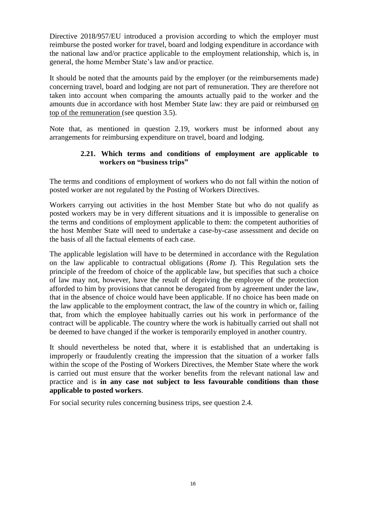Directive 2018/957/EU introduced a provision according to which the employer must reimburse the posted worker for travel, board and lodging expenditure in accordance with the national law and/or practice applicable to the employment relationship, which is, in general, the home Member State's law and/or practice.

It should be noted that the amounts paid by the employer (or the reimbursements made) concerning travel, board and lodging are not part of remuneration. They are therefore not taken into account when comparing the amounts actually paid to the worker and the amounts due in accordance with host Member State law: they are paid or reimbursed on top of the remuneration (see question [3.5\)](#page-19-0).

Note that, as mentioned in question [2.19,](#page-14-0) workers must be informed about any arrangements for reimbursing expenditure on travel, board and lodging.

## <span id="page-15-0"></span>**2.21. Which terms and conditions of employment are applicable to workers on "business trips"**

The terms and conditions of employment of workers who do not fall within the notion of posted worker are not regulated by the Posting of Workers Directives.

Workers carrying out activities in the host Member State but who do not qualify as posted workers may be in very different situations and it is impossible to generalise on the terms and conditions of employment applicable to them: the competent authorities of the host Member State will need to undertake a case-by-case assessment and decide on the basis of all the factual elements of each case.

The applicable legislation will have to be determined in accordance with the Regulation on the law applicable to contractual obligations (*Rome I*). This Regulation sets the principle of the freedom of choice of the applicable law, but specifies that such a choice of law may not, however, have the result of depriving the employee of the protection afforded to him by provisions that cannot be derogated from by agreement under the law, that in the absence of choice would have been applicable. If no choice has been made on the law applicable to the employment contract, the law of the country in which or, failing that, from which the employee habitually carries out his work in performance of the contract will be applicable. The country where the work is habitually carried out shall not be deemed to have changed if the worker is temporarily employed in another country.

It should nevertheless be noted that, where it is established that an undertaking is improperly or fraudulently creating the impression that the situation of a worker falls within the scope of the Posting of Workers Directives, the Member State where the work is carried out must ensure that the worker benefits from the relevant national law and practice and is **in any case not subject to less favourable conditions than those applicable to posted workers**.

For social security rules concerning business trips, see question [2.4.](#page-6-0)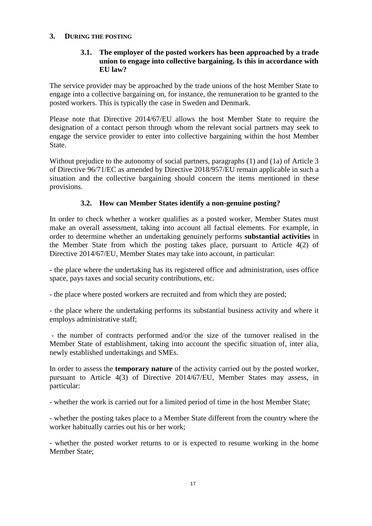#### <span id="page-16-1"></span><span id="page-16-0"></span>**3. DURING THE POSTING**

## **3.1. The employer of the posted workers has been approached by a trade union to engage into collective bargaining. Is this in accordance with EU law?**

The service provider may be approached by the trade unions of the host Member State to engage into a collective bargaining on, for instance, the remuneration to be granted to the posted workers. This is typically the case in Sweden and Denmark.

Please note that Directive 2014/67/EU allows the host Member State to require the designation of a contact person through whom the relevant social partners may seek to engage the service provider to enter into collective bargaining within the host Member State.

Without prejudice to the autonomy of social partners, paragraphs (1) and (1a) of Article 3 of Directive 96/71/EC as amended by Directive 2018/957/EU remain applicable in such a situation and the collective bargaining should concern the items mentioned in these provisions.

#### **3.2. How can Member States identify a non-genuine posting?**

<span id="page-16-2"></span>In order to check whether a worker qualifies as a posted worker, Member States must make an overall assessment, taking into account all factual elements. For example, in order to determine whether an undertaking genuinely performs **substantial activities** in the Member State from which the posting takes place, pursuant to Article 4(2) of Directive 2014/67/EU, Member States may take into account, in particular:

- the place where the undertaking has its registered office and administration, uses office space, pays taxes and social security contributions, etc.

- the place where posted workers are recruited and from which they are posted;

- the place where the undertaking performs its substantial business activity and where it employs administrative staff;

- the number of contracts performed and/or the size of the turnover realised in the Member State of establishment, taking into account the specific situation of, inter alia, newly established undertakings and SMEs.

In order to assess the **temporary nature** of the activity carried out by the posted worker, pursuant to Article 4(3) of Directive 2014/67/EU, Member States may assess, in particular:

- whether the work is carried out for a limited period of time in the host Member State;

- whether the posting takes place to a Member State different from the country where the worker habitually carries out his or her work;

- whether the posted worker returns to or is expected to resume working in the home Member State;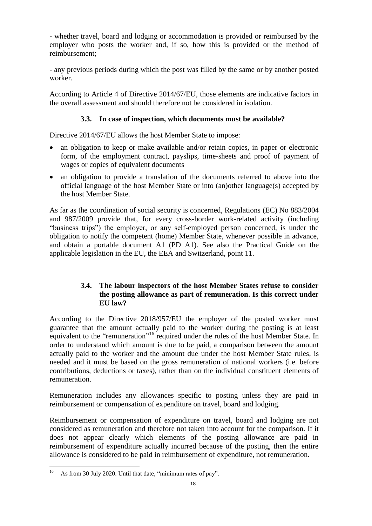- whether travel, board and lodging or accommodation is provided or reimbursed by the employer who posts the worker and, if so, how this is provided or the method of reimbursement;

- any previous periods during which the post was filled by the same or by another posted worker.

According to Article 4 of Directive 2014/67/EU, those elements are indicative factors in the overall assessment and should therefore not be considered in isolation.

## **3.3. In case of inspection, which documents must be available?**

<span id="page-17-0"></span>Directive 2014/67/EU allows the host Member State to impose:

- an obligation to keep or make available and/or retain copies, in paper or electronic form, of the employment contract, payslips, time-sheets and proof of payment of wages or copies of equivalent documents
- an obligation to provide a translation of the documents referred to above into the official language of the host Member State or into (an)other language(s) accepted by the host Member State.

As far as the coordination of social security is concerned, Regulations (EC) No 883/2004 and 987/2009 provide that, for every cross-border work-related activity (including "business trips") the employer, or any self-employed person concerned, is under the obligation to notify the competent (home) Member State, whenever possible in advance, and obtain a portable document A1 (PD A1). See also the Practical Guide on the applicable legislation in the EU, the EEA and Switzerland, point 11.

# <span id="page-17-1"></span>**3.4. The labour inspectors of the host Member States refuse to consider the posting allowance as part of remuneration. Is this correct under EU law?**

According to the Directive 2018/957/EU the employer of the posted worker must guarantee that the amount actually paid to the worker during the posting is at least equivalent to the "remuneration"<sup>16</sup> required under the rules of the host Member State. In order to understand which amount is due to be paid, a comparison between the amount actually paid to the worker and the amount due under the host Member State rules, is needed and it must be based on the gross remuneration of national workers (i.e. before contributions, deductions or taxes), rather than on the individual constituent elements of remuneration.

Remuneration includes any allowances specific to posting unless they are paid in reimbursement or compensation of expenditure on travel, board and lodging.

Reimbursement or compensation of expenditure on travel, board and lodging are not considered as remuneration and therefore not taken into account for the comparison. If it does not appear clearly which elements of the posting allowance are paid in reimbursement of expenditure actually incurred because of the posting, then the entire allowance is considered to be paid in reimbursement of expenditure, not remuneration.

 $16<sup>16</sup>$ As from 30 July 2020. Until that date, "minimum rates of pay".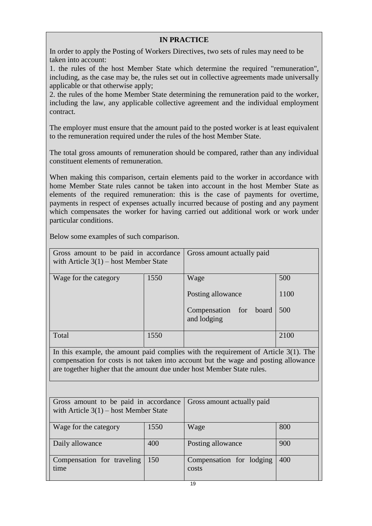# **IN PRACTICE**

In order to apply the Posting of Workers Directives, two sets of rules may need to be taken into account:

1. the rules of the host Member State which determine the required "remuneration", including, as the case may be, the rules set out in collective agreements made universally applicable or that otherwise apply;

2. the rules of the home Member State determining the remuneration paid to the worker, including the law, any applicable collective agreement and the individual employment contract.

The employer must ensure that the amount paid to the posted worker is at least equivalent to the remuneration required under the rules of the host Member State.

The total gross amounts of remuneration should be compared, rather than any individual constituent elements of remuneration.

When making this comparison, certain elements paid to the worker in accordance with home Member State rules cannot be taken into account in the host Member State as elements of the required remuneration: this is the case of payments for overtime, payments in respect of expenses actually incurred because of posting and any payment which compensates the worker for having carried out additional work or work under particular conditions.

Gross amount to be paid in accordance with Article 3(1) – host Member State Gross amount actually paid Wage for the category  $1550$  Wage Posting allowance Compensation for board and lodging 500 1100 500 Total 1550 2100

Below some examples of such comparison.

In this example, the amount paid complies with the requirement of Article 3(1). The compensation for costs is not taken into account but the wage and posting allowance are together higher that the amount due under host Member State rules.

| Gross amount to be paid in accordance<br>with Article $3(1)$ – host Member State |      | Gross amount actually paid        |     |
|----------------------------------------------------------------------------------|------|-----------------------------------|-----|
| Wage for the category                                                            | 1550 | Wage                              | 800 |
| Daily allowance                                                                  | 400  | Posting allowance                 | 900 |
| Compensation for traveling<br>time                                               | 150  | Compensation for lodging<br>costs | 400 |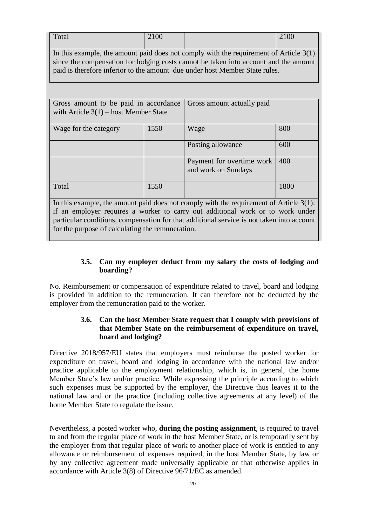| Total                                                                                                                                                                                                                                                                                                                        | 2100 |                                                  | 2100 |  |  |  |  |  |
|------------------------------------------------------------------------------------------------------------------------------------------------------------------------------------------------------------------------------------------------------------------------------------------------------------------------------|------|--------------------------------------------------|------|--|--|--|--|--|
| In this example, the amount paid does not comply with the requirement of Article $3(1)$<br>since the compensation for lodging costs cannot be taken into account and the amount<br>paid is therefore inferior to the amount due under host Member State rules.                                                               |      |                                                  |      |  |  |  |  |  |
|                                                                                                                                                                                                                                                                                                                              |      |                                                  |      |  |  |  |  |  |
| Gross amount to be paid in accordance<br>with Article $3(1)$ – host Member State                                                                                                                                                                                                                                             |      | Gross amount actually paid                       |      |  |  |  |  |  |
| Wage for the category                                                                                                                                                                                                                                                                                                        | 1550 | Wage                                             | 800  |  |  |  |  |  |
|                                                                                                                                                                                                                                                                                                                              |      | Posting allowance                                | 600  |  |  |  |  |  |
|                                                                                                                                                                                                                                                                                                                              |      | Payment for overtime work<br>and work on Sundays | 400  |  |  |  |  |  |
| Total                                                                                                                                                                                                                                                                                                                        | 1550 |                                                  | 1800 |  |  |  |  |  |
| In this example, the amount paid does not comply with the requirement of Article $3(1)$ :<br>if an employer requires a worker to carry out additional work or to work under<br>particular conditions, compensation for that additional service is not taken into account<br>for the purpose of calculating the remuneration. |      |                                                  |      |  |  |  |  |  |

#### **3.5. Can my employer deduct from my salary the costs of lodging and boarding?**

<span id="page-19-0"></span>No. Reimbursement or compensation of expenditure related to travel, board and lodging is provided in addition to the remuneration. It can therefore not be deducted by the employer from the remuneration paid to the worker.

## <span id="page-19-1"></span>**3.6. Can the host Member State request that I comply with provisions of that Member State on the reimbursement of expenditure on travel, board and lodging?**

Directive 2018/957/EU states that employers must reimburse the posted worker for expenditure on travel, board and lodging in accordance with the national law and/or practice applicable to the employment relationship, which is, in general, the home Member State's law and/or practice. While expressing the principle according to which such expenses must be supported by the employer, the Directive thus leaves it to the national law and or the practice (including collective agreements at any level) of the home Member State to regulate the issue.

Nevertheless, a posted worker who, **during the posting assignment**, is required to travel to and from the regular place of work in the host Member State, or is temporarily sent by the employer from that regular place of work to another place of work is entitled to any allowance or reimbursement of expenses required, in the host Member State, by law or by any collective agreement made universally applicable or that otherwise applies in accordance with Article 3(8) of Directive 96/71/EC as amended.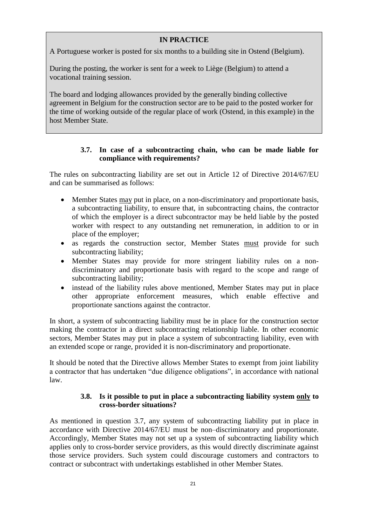# **IN PRACTICE**

A Portuguese worker is posted for six months to a building site in Ostend (Belgium).

During the posting, the worker is sent for a week to Liège (Belgium) to attend a vocational training session.

The board and lodging allowances provided by the generally binding collective agreement in Belgium for the construction sector are to be paid to the posted worker for the time of working outside of the regular place of work (Ostend, in this example) in the host Member State.

#### **3.7. In case of a subcontracting chain, who can be made liable for compliance with requirements?**

<span id="page-20-0"></span>The rules on subcontracting liability are set out in Article 12 of Directive 2014/67/EU and can be summarised as follows:

- Member States may put in place, on a non-discriminatory and proportionate basis, a subcontracting liability, to ensure that, in subcontracting chains, the contractor of which the employer is a direct subcontractor may be held liable by the posted worker with respect to any outstanding net remuneration, in addition to or in place of the employer;
- as regards the construction sector, Member States must provide for such subcontracting liability;
- Member States may provide for more stringent liability rules on a nondiscriminatory and proportionate basis with regard to the scope and range of subcontracting liability;
- instead of the liability rules above mentioned, Member States may put in place other appropriate enforcement measures, which enable effective and proportionate sanctions against the contractor.

In short, a system of subcontracting liability must be in place for the construction sector making the contractor in a direct subcontracting relationship liable. In other economic sectors, Member States may put in place a system of subcontracting liability, even with an extended scope or range, provided it is non-discriminatory and proportionate.

It should be noted that the Directive allows Member States to exempt from joint liability a contractor that has undertaken "due diligence obligations", in accordance with national law.

#### **3.8. Is it possible to put in place a subcontracting liability system only to cross-border situations?**

<span id="page-20-1"></span>As mentioned in question [3.7,](#page-20-0) any system of subcontracting liability put in place in accordance with Directive 2014/67/EU must be non–discriminatory and proportionate. Accordingly, Member States may not set up a system of subcontracting liability which applies only to cross-border service providers, as this would directly discriminate against those service providers. Such system could discourage customers and contractors to contract or subcontract with undertakings established in other Member States.